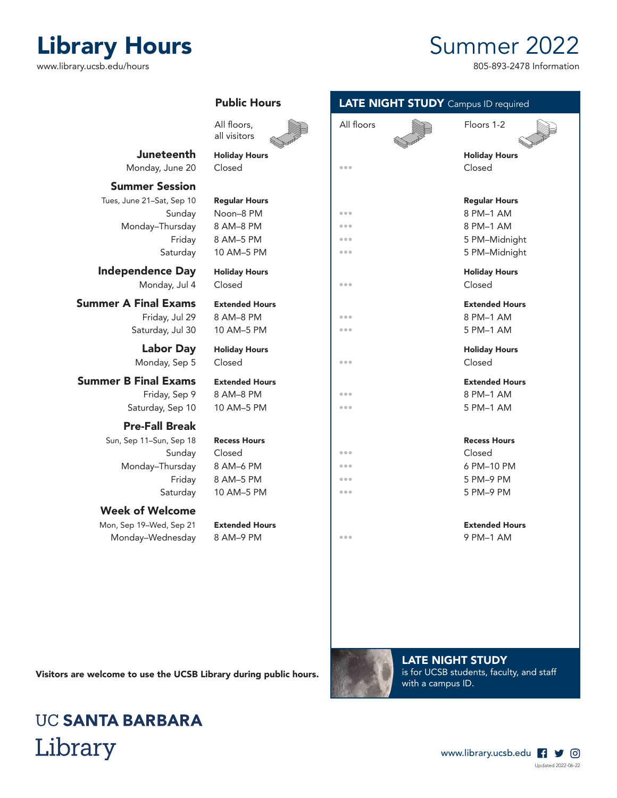## Visitors are welcome to use the UCSB Library during public hours.

## **UC SANTA BARBARA** Library

Updated 2022-06-22

www.library.ucsb.edu | 9 0



## Monday–Wednesday 8 AM–9 PM **•••** 9 PM–1 AM

Saturday 10 AM–5 PM

# Sun, Sep 11-Sun, Sep 18 Recess Hours

Mon, Sep 19–Wed, Sep 21 Extended Hours Extended Hours

Week of Welcome

Monday–Thursday 8 AM–6 PM **Fig. 10 PM** 

Friday, Sep 9 8 AM–8 PM

Public Hours

Juneteenth Holiday Hours Monday, June 20 Closed **Figure 10** 

Tues, June 21-Sat, Sep 10 Regular Hours Sunday Noon–8 PM and all and see Monday–Thursday 8 AM–8 PM

Independence Day Holiday Hours Monday, Jul 4 Closed **•••** Closed

**Summer A Final Exams** Extended Hours Friday, Jul 29  $8$  AM-8 PM

Saturday, Jul 30  $10$  AM–5 PM

Labor Day Holiday Hours Monday, Sep 5 Closed **Closed Figure 1** 

**Summer B Final Exams** Extended Hours

## Saturday, Sep 10 10 AM–5 PM

## Pre-Fall Break

Summer Session

## LATE NIGHT STUDY Campus ID required

|                               | All floors,<br>all visitors                      | All floors              | Floors 1-2                                      |  |
|-------------------------------|--------------------------------------------------|-------------------------|-------------------------------------------------|--|
| eenth                         | <b>Holiday Hours</b>                             |                         | <b>Holiday Hours</b>                            |  |
| June 20                       | Closed                                           | 0.0.0                   | Closed                                          |  |
| ession                        |                                                  |                         |                                                 |  |
| , Sep 10                      | <b>Regular Hours</b>                             |                         | <b>Regular Hours</b>                            |  |
| Sunday                        | Noon-8 PM                                        | $\bullet\bullet\bullet$ | 8 PM-1 AM                                       |  |
| าursday                       | 8 AM-8 PM                                        | $\bullet\bullet\bullet$ | 8 PM-1 AM                                       |  |
| Friday                        | 8 AM-5 PM                                        | $\bullet\bullet\bullet$ | 5 PM-Midnight                                   |  |
| aturday                       | 10 AM-5 PM                                       | 0.0.0                   | 5 PM-Midnight                                   |  |
| e Day<br>ay, Jul 4            | <b>Holiday Hours</b><br>Closed                   | 0.0.0                   | <b>Holiday Hours</b><br>Closed                  |  |
| :xams<br>, Jul 29<br>, Jul 30 | <b>Extended Hours</b><br>8 AM-8 PM<br>10 AM-5 PM | 0.0.0<br>0.0.0          | <b>Extended Hours</b><br>8 PM-1 AM<br>5 PM-1 AM |  |
| r Day<br>, Sep 5              | <b>Holiday Hours</b><br>Closed                   | 0.0.0                   | <b>Holiday Hours</b><br>Closed                  |  |
| :xams                         | <b>Extended Hours</b>                            |                         | <b>Extended Hours</b>                           |  |
| , Sep 9                       | 8 AM-8 PM                                        | $\bullet\bullet\bullet$ | 8 PM-1 AM                                       |  |
| Sep 10                        | 10 AM-5 PM                                       | 0.0.0                   | 5 PM-1 AM                                       |  |
| <b>Break</b>                  |                                                  |                         |                                                 |  |
| , Sep 18                      | <b>Recess Hours</b>                              |                         | <b>Recess Hours</b>                             |  |
| Sunday                        | Closed                                           | 0.0.0                   | Closed                                          |  |
| <b>ursday</b>                 | 8 AM-6 PM                                        | 0.0.0                   | 6 PM-10 PM                                      |  |
| Friday                        | 8 AM-5 PM                                        | 0.0.0                   | 5 PM-9 PM                                       |  |
| aturday                       | 10 AM-5 PM                                       | 0.0.0                   | 5 PM-9 PM                                       |  |
| lcome                         |                                                  |                         |                                                 |  |
|                               |                                                  |                         |                                                 |  |

LATE NIGHT STUDY is for UCSB students, faculty, and staff with a campus ID.